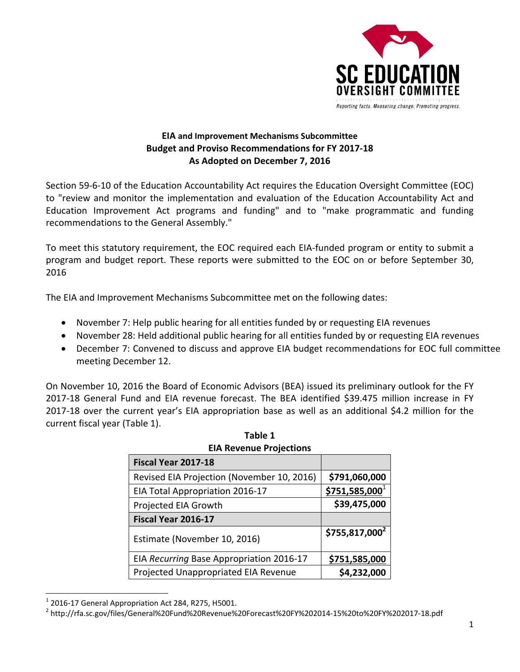

# **EIA and Improvement Mechanisms Subcommittee Budget and Proviso Recommendations for FY 2017‐18 As Adopted on December 7, 2016**

Section 59‐6‐10 of the Education Accountability Act requires the Education Oversight Committee (EOC) to "review and monitor the implementation and evaluation of the Education Accountability Act and Education Improvement Act programs and funding" and to "make programmatic and funding recommendations to the General Assembly."

To meet this statutory requirement, the EOC required each EIA‐funded program or entity to submit a program and budget report. These reports were submitted to the EOC on or before September 30, 2016

The EIA and Improvement Mechanisms Subcommittee met on the following dates:

- November 7: Help public hearing for all entities funded by or requesting EIA revenues
- November 28: Held additional public hearing for all entities funded by or requesting EIA revenues
- December 7: Convened to discuss and approve EIA budget recommendations for EOC full committee meeting December 12.

On November 10, 2016 the Board of Economic Advisors (BEA) issued its preliminary outlook for the FY 2017‐18 General Fund and EIA revenue forecast. The BEA identified \$39.475 million increase in FY 2017‐18 over the current year's EIA appropriation base as well as an additional \$4.2 million for the current fiscal year (Table 1).

| <b>EIA Revenue Projections</b>             |                  |  |  |  |
|--------------------------------------------|------------------|--|--|--|
| Fiscal Year 2017-18                        |                  |  |  |  |
| Revised EIA Projection (November 10, 2016) | \$791,060,000    |  |  |  |
| EIA Total Appropriation 2016-17            | $$751,585,000^1$ |  |  |  |
| Projected EIA Growth                       | \$39,475,000     |  |  |  |
| Fiscal Year 2016-17                        |                  |  |  |  |
| Estimate (November 10, 2016)               | $$755,817,000^2$ |  |  |  |
| EIA Recurring Base Appropriation 2016-17   | \$751,585,000    |  |  |  |
| Projected Unappropriated EIA Revenue       | \$4,232,000      |  |  |  |

| Table 1                        |  |  |  |
|--------------------------------|--|--|--|
| <b>FIA Revenue Projections</b> |  |  |  |

 $^1$  2016-17 General Appropriation Act 284, R275, H5001.<br><sup>2</sup> http://rfa.sc.gov/files/General%20Fund%20Revenue%20Forecast%20FY%202014-15%20to%20FY%202017-18.pdf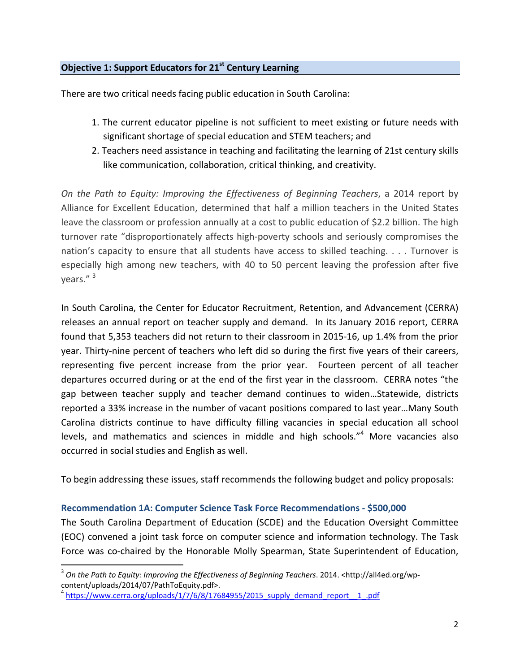# **Objective 1: Support Educators for 21st Century Learning**

There are two critical needs facing public education in South Carolina:

- 1. The current educator pipeline is not sufficient to meet existing or future needs with significant shortage of special education and STEM teachers; and
- 2. Teachers need assistance in teaching and facilitating the learning of 21st century skills like communication, collaboration, critical thinking, and creativity.

*On the Path to Equity: Improving the Effectiveness of Beginning Teachers*, a 2014 report by Alliance for Excellent Education, determined that half a million teachers in the United States leave the classroom or profession annually at a cost to public education of \$2.2 billion. The high turnover rate "disproportionately affects high‐poverty schools and seriously compromises the nation's capacity to ensure that all students have access to skilled teaching. . . . Turnover is especially high among new teachers, with 40 to 50 percent leaving the profession after five years." <sup>3</sup>

In South Carolina, the Center for Educator Recruitment, Retention, and Advancement (CERRA) releases an annual report on teacher supply and demand*.* In its January 2016 report, CERRA found that 5,353 teachers did not return to their classroom in 2015‐16, up 1.4% from the prior year. Thirty‐nine percent of teachers who left did so during the first five years of their careers, representing five percent increase from the prior year. Fourteen percent of all teacher departures occurred during or at the end of the first year in the classroom. CERRA notes "the gap between teacher supply and teacher demand continues to widen…Statewide, districts reported a 33% increase in the number of vacant positions compared to last year…Many South Carolina districts continue to have difficulty filling vacancies in special education all school levels, and mathematics and sciences in middle and high schools."<sup>4</sup> More vacancies also occurred in social studies and English as well.

To begin addressing these issues, staff recommends the following budget and policy proposals:

## **Recommendation 1A: Computer Science Task Force Recommendations ‐ \$500,000**

The South Carolina Department of Education (SCDE) and the Education Oversight Committee (EOC) convened a joint task force on computer science and information technology. The Task Force was co-chaired by the Honorable Molly Spearman, State Superintendent of Education,

<sup>3</sup> *On the Path to Equity: Improving the Effectiveness of Beginning Teachers*. 2014. <http://all4ed.org/wp‐ content/uploads/2014/07/PathToEquity.pdf>.

 $4$  https://www.cerra.org/uploads/1/7/6/8/17684955/2015\_supply\_demand\_report $-1$ .pdf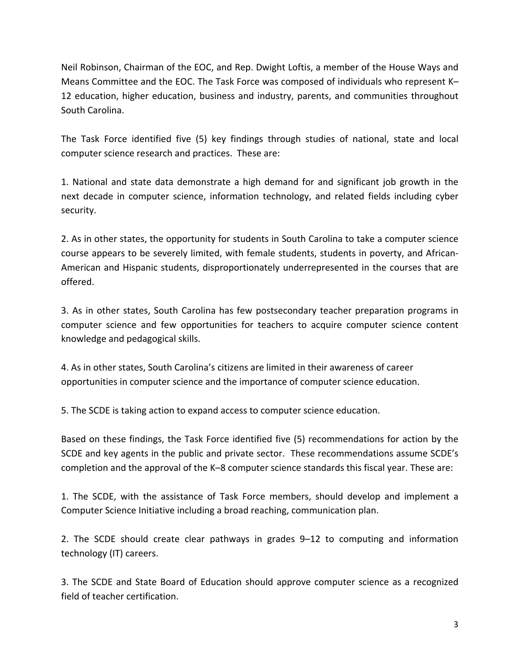Neil Robinson, Chairman of the EOC, and Rep. Dwight Loftis, a member of the House Ways and Means Committee and the EOC. The Task Force was composed of individuals who represent K– 12 education, higher education, business and industry, parents, and communities throughout South Carolina.

The Task Force identified five (5) key findings through studies of national, state and local computer science research and practices. These are:

1. National and state data demonstrate a high demand for and significant job growth in the next decade in computer science, information technology, and related fields including cyber security.

2. As in other states, the opportunity for students in South Carolina to take a computer science course appears to be severely limited, with female students, students in poverty, and African‐ American and Hispanic students, disproportionately underrepresented in the courses that are offered.

3. As in other states, South Carolina has few postsecondary teacher preparation programs in computer science and few opportunities for teachers to acquire computer science content knowledge and pedagogical skills.

4. As in other states, South Carolina's citizens are limited in their awareness of career opportunities in computer science and the importance of computer science education.

5. The SCDE is taking action to expand access to computer science education.

Based on these findings, the Task Force identified five (5) recommendations for action by the SCDE and key agents in the public and private sector. These recommendations assume SCDE's completion and the approval of the K–8 computer science standards this fiscal year. These are:

1. The SCDE, with the assistance of Task Force members, should develop and implement a Computer Science Initiative including a broad reaching, communication plan.

2. The SCDE should create clear pathways in grades 9–12 to computing and information technology (IT) careers.

3. The SCDE and State Board of Education should approve computer science as a recognized field of teacher certification.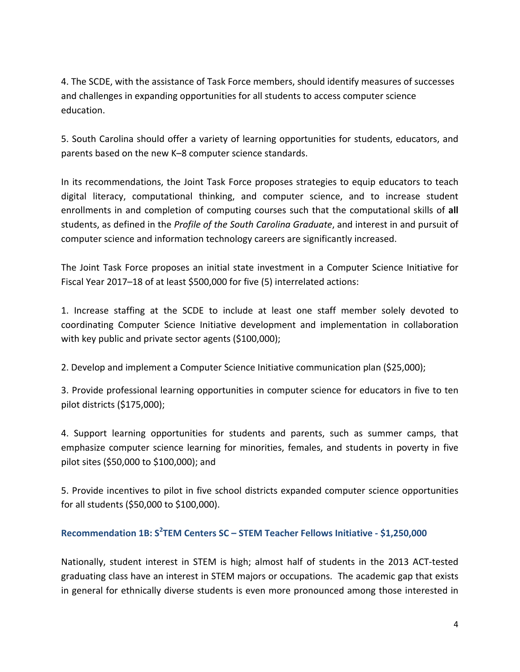4. The SCDE, with the assistance of Task Force members, should identify measures of successes and challenges in expanding opportunities for all students to access computer science education.

5. South Carolina should offer a variety of learning opportunities for students, educators, and parents based on the new K–8 computer science standards.

In its recommendations, the Joint Task Force proposes strategies to equip educators to teach digital literacy, computational thinking, and computer science, and to increase student enrollments in and completion of computing courses such that the computational skills of **all** students, as defined in the *Profile of the South Carolina Graduate*, and interest in and pursuit of computer science and information technology careers are significantly increased.

The Joint Task Force proposes an initial state investment in a Computer Science Initiative for Fiscal Year 2017–18 of at least \$500,000 for five (5) interrelated actions:

1. Increase staffing at the SCDE to include at least one staff member solely devoted to coordinating Computer Science Initiative development and implementation in collaboration with key public and private sector agents (\$100,000);

2. Develop and implement a Computer Science Initiative communication plan (\$25,000);

3. Provide professional learning opportunities in computer science for educators in five to ten pilot districts (\$175,000);

4. Support learning opportunities for students and parents, such as summer camps, that emphasize computer science learning for minorities, females, and students in poverty in five pilot sites (\$50,000 to \$100,000); and

5. Provide incentives to pilot in five school districts expanded computer science opportunities for all students (\$50,000 to \$100,000).

# **Recommendation 1B: S<sup>2</sup> TEM Centers SC – STEM Teacher Fellows Initiative ‐ \$1,250,000**

Nationally, student interest in STEM is high; almost half of students in the 2013 ACT‐tested graduating class have an interest in STEM majors or occupations. The academic gap that exists in general for ethnically diverse students is even more pronounced among those interested in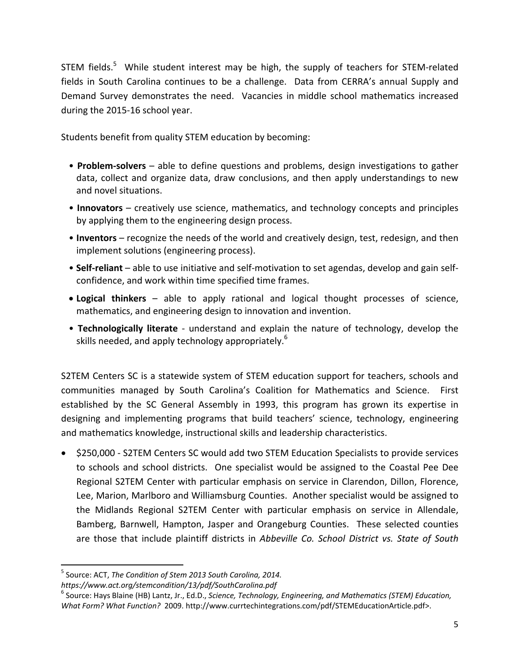STEM fields.<sup>5</sup> While student interest may be high, the supply of teachers for STEM-related fields in South Carolina continues to be a challenge. Data from CERRA's annual Supply and Demand Survey demonstrates the need. Vacancies in middle school mathematics increased during the 2015‐16 school year.

Students benefit from quality STEM education by becoming:

- **Problem‐solvers** able to define questions and problems, design investigations to gather data, collect and organize data, draw conclusions, and then apply understandings to new and novel situations.
- **Innovators** creatively use science, mathematics, and technology concepts and principles by applying them to the engineering design process.
- **Inventors** recognize the needs of the world and creatively design, test, redesign, and then implement solutions (engineering process).
- **Self‐reliant** able to use initiative and self‐motivation to set agendas, develop and gain self‐ confidence, and work within time specified time frames.
- **Logical thinkers** able to apply rational and logical thought processes of science, mathematics, and engineering design to innovation and invention.
- **Technologically literate** ‐ understand and explain the nature of technology, develop the skills needed, and apply technology appropriately.<sup>6</sup>

S2TEM Centers SC is a statewide system of STEM education support for teachers, schools and communities managed by South Carolina's Coalition for Mathematics and Science. First established by the SC General Assembly in 1993, this program has grown its expertise in designing and implementing programs that build teachers' science, technology, engineering and mathematics knowledge, instructional skills and leadership characteristics.

● \$250,000 - S2TEM Centers SC would add two STEM Education Specialists to provide services to schools and school districts. One specialist would be assigned to the Coastal Pee Dee Regional S2TEM Center with particular emphasis on service in Clarendon, Dillon, Florence, Lee, Marion, Marlboro and Williamsburg Counties. Another specialist would be assigned to the Midlands Regional S2TEM Center with particular emphasis on service in Allendale, Bamberg, Barnwell, Hampton, Jasper and Orangeburg Counties. These selected counties are those that include plaintiff districts in *Abbeville Co. School District vs. State of South*

<sup>5</sup> Source: ACT, *The Condition of Stem 2013 South Carolina, 2014.* 

https://www.act.org/stemcondition/13/pdf/SouthCarolina.pdf<br><sup>6</sup> Source: Hays Blaine (HB) Lantz, Jr., Ed.D., Science, Technology, Engineering, and Mathematics (STEM) Education, *What Form? What Function?* 2009. http://www.currtechintegrations.com/pdf/STEMEducationArticle.pdf>.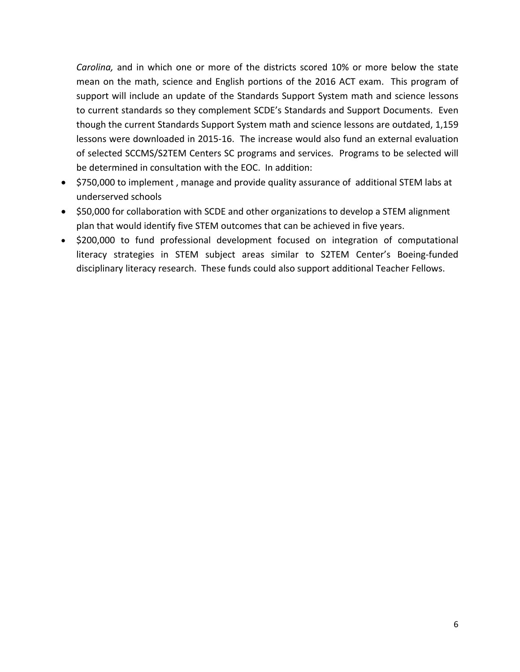*Carolina,* and in which one or more of the districts scored 10% or more below the state mean on the math, science and English portions of the 2016 ACT exam. This program of support will include an update of the Standards Support System math and science lessons to current standards so they complement SCDE's Standards and Support Documents. Even though the current Standards Support System math and science lessons are outdated, 1,159 lessons were downloaded in 2015‐16. The increase would also fund an external evaluation of selected SCCMS/S2TEM Centers SC programs and services. Programs to be selected will be determined in consultation with the EOC. In addition:

- \$750,000 to implement, manage and provide quality assurance of additional STEM labs at underserved schools
- \$50,000 for collaboration with SCDE and other organizations to develop a STEM alignment plan that would identify five STEM outcomes that can be achieved in five years.
- \$200,000 to fund professional development focused on integration of computational literacy strategies in STEM subject areas similar to S2TEM Center's Boeing‐funded disciplinary literacy research. These funds could also support additional Teacher Fellows.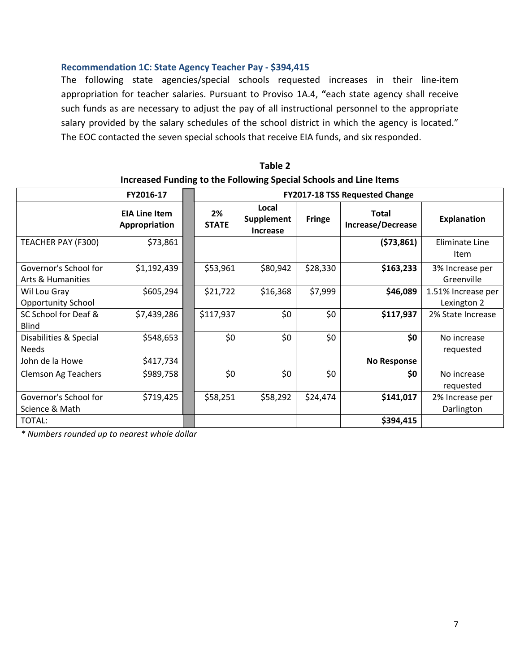#### **Recommendation 1C: State Agency Teacher Pay ‐ \$394,415**

The following state agencies/special schools requested increases in their line‐item appropriation for teacher salaries. Pursuant to Proviso 1A.4, **"**each state agency shall receive such funds as are necessary to adjust the pay of all instructional personnel to the appropriate salary provided by the salary schedules of the school district in which the agency is located." The EOC contacted the seven special schools that receive EIA funds, and six responded.

|                                            | FY2016-17                             |  |                    | <b>FY2017-18 TSS Requested Change</b>         |               |                                   |                                   |  |
|--------------------------------------------|---------------------------------------|--|--------------------|-----------------------------------------------|---------------|-----------------------------------|-----------------------------------|--|
|                                            | <b>EIA Line Item</b><br>Appropriation |  | 2%<br><b>STATE</b> | Local<br><b>Supplement</b><br><b>Increase</b> | <b>Fringe</b> | <b>Total</b><br>Increase/Decrease | <b>Explanation</b>                |  |
| TEACHER PAY (F300)                         | \$73,861                              |  |                    |                                               |               | (573,861)                         | Eliminate Line<br>Item            |  |
| Governor's School for<br>Arts & Humanities | \$1,192,439                           |  | \$53,961           | \$80,942                                      | \$28,330      | \$163,233                         | 3% Increase per<br>Greenville     |  |
| Wil Lou Gray<br><b>Opportunity School</b>  | \$605,294                             |  | \$21,722           | \$16,368                                      | \$7,999       | \$46,089                          | 1.51% Increase per<br>Lexington 2 |  |
| SC School for Deaf &<br><b>Blind</b>       | \$7,439,286                           |  | \$117,937          | \$0                                           | \$0           | \$117,937                         | 2% State Increase                 |  |
| Disabilities & Special<br><b>Needs</b>     | \$548,653                             |  | \$0                | \$0                                           | \$0           | \$0                               | No increase<br>requested          |  |
| John de la Howe                            | \$417,734                             |  |                    |                                               |               | <b>No Response</b>                |                                   |  |
| <b>Clemson Ag Teachers</b>                 | \$989,758                             |  | \$0                | \$0                                           | \$0           | \$0                               | No increase<br>requested          |  |
| Governor's School for<br>Science & Math    | \$719,425                             |  | \$58,251           | \$58,292                                      | \$24,474      | \$141,017                         | 2% Increase per<br>Darlington     |  |
| TOTAL:                                     |                                       |  |                    |                                               |               | \$394,415                         |                                   |  |

## **Table 2 Increased Funding to the Following Special Schools and Line Items**

*\* Numbers rounded up to nearest whole dollar*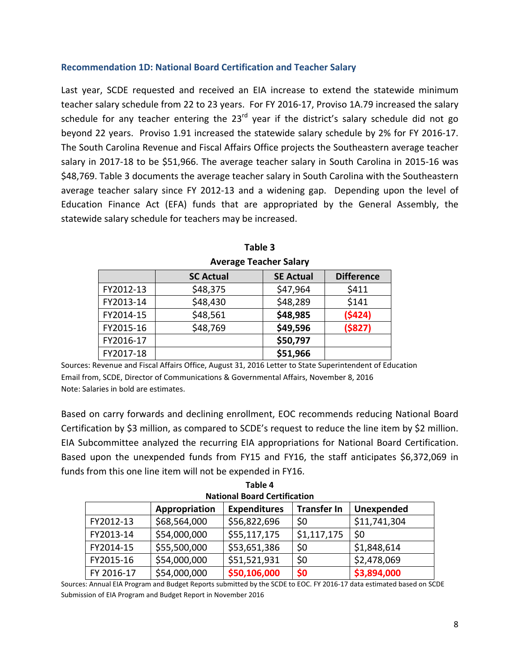#### **Recommendation 1D: National Board Certification and Teacher Salary**

Last year, SCDE requested and received an EIA increase to extend the statewide minimum teacher salary schedule from 22 to 23 years. For FY 2016‐17, Proviso 1A.79 increased the salary schedule for any teacher entering the  $23<sup>rd</sup>$  year if the district's salary schedule did not go beyond 22 years. Proviso 1.91 increased the statewide salary schedule by 2% for FY 2016‐17. The South Carolina Revenue and Fiscal Affairs Office projects the Southeastern average teacher salary in 2017‐18 to be \$51,966. The average teacher salary in South Carolina in 2015‐16 was \$48,769. Table 3 documents the average teacher salary in South Carolina with the Southeastern average teacher salary since FY 2012‐13 and a widening gap. Depending upon the level of Education Finance Act (EFA) funds that are appropriated by the General Assembly, the statewide salary schedule for teachers may be increased.

|           | AVEIAGE TEALITEL SAIALY |                  |                   |  |  |
|-----------|-------------------------|------------------|-------------------|--|--|
|           | <b>SC Actual</b>        | <b>SE Actual</b> | <b>Difference</b> |  |  |
| FY2012-13 | \$48,375                | \$47,964         | \$411             |  |  |
| FY2013-14 | \$48,430                | \$48,289         | \$141             |  |  |
| FY2014-15 | \$48,561                | \$48,985         | (5424)            |  |  |
| FY2015-16 | \$48,769                | \$49,596         | (5827)            |  |  |
| FY2016-17 |                         | \$50,797         |                   |  |  |
| FY2017-18 |                         | \$51,966         |                   |  |  |

**Table 3 Average Teacher Salary**

Sources: Revenue and Fiscal Affairs Office, August 31, 2016 Letter to State Superintendent of Education Email from, SCDE, Director of Communications & Governmental Affairs, November 8, 2016 Note: Salaries in bold are estimates.

Based on carry forwards and declining enrollment, EOC recommends reducing National Board Certification by \$3 million, as compared to SCDE's request to reduce the line item by \$2 million. EIA Subcommittee analyzed the recurring EIA appropriations for National Board Certification. Based upon the unexpended funds from FY15 and FY16, the staff anticipates \$6,372,069 in funds from this one line item will not be expended in FY16.

**Table 4**

| <b>National Board Certification</b>                                      |              |              |             |              |  |  |
|--------------------------------------------------------------------------|--------------|--------------|-------------|--------------|--|--|
| <b>Transfer In</b><br><b>Expenditures</b><br>Unexpended<br>Appropriation |              |              |             |              |  |  |
| FY2012-13                                                                | \$68,564,000 | \$56,822,696 | \$0         | \$11,741,304 |  |  |
| FY2013-14                                                                | \$54,000,000 | \$55,117,175 | \$1,117,175 | \$0          |  |  |
| FY2014-15                                                                | \$55,500,000 | \$53,651,386 | \$0         | \$1,848,614  |  |  |
| FY2015-16                                                                | \$54,000,000 | \$51,521,931 | \$0         | \$2,478,069  |  |  |
| FY 2016-17                                                               | \$54,000,000 | \$50,106,000 | \$0         | \$3,894,000  |  |  |

Sources: Annual EIA Program and Budget Reports submitted by the SCDE to EOC. FY 2016‐17 data estimated based on SCDE Submission of EIA Program and Budget Report in November 2016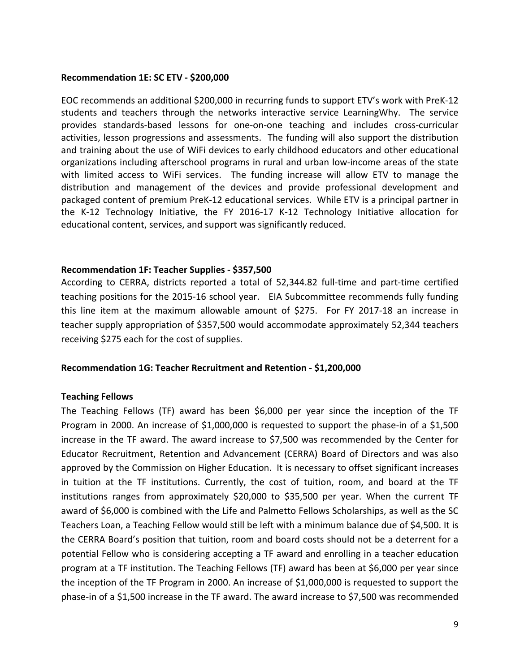#### **Recommendation 1E: SC ETV ‐ \$200,000**

EOC recommends an additional \$200,000 in recurring funds to support ETV's work with PreK‐12 students and teachers through the networks interactive service LearningWhy. The service provides standards‐based lessons for one‐on‐one teaching and includes cross‐curricular activities, lesson progressions and assessments. The funding will also support the distribution and training about the use of WiFi devices to early childhood educators and other educational organizations including afterschool programs in rural and urban low‐income areas of the state with limited access to WiFi services. The funding increase will allow ETV to manage the distribution and management of the devices and provide professional development and packaged content of premium PreK‐12 educational services. While ETV is a principal partner in the K‐12 Technology Initiative, the FY 2016‐17 K‐12 Technology Initiative allocation for educational content, services, and support was significantly reduced.

#### **Recommendation 1F: Teacher Supplies ‐ \$357,500**

According to CERRA, districts reported a total of 52,344.82 full‐time and part‐time certified teaching positions for the 2015‐16 school year. EIA Subcommittee recommends fully funding this line item at the maximum allowable amount of \$275. For FY 2017‐18 an increase in teacher supply appropriation of \$357,500 would accommodate approximately 52,344 teachers receiving \$275 each for the cost of supplies.

## **Recommendation 1G: Teacher Recruitment and Retention ‐ \$1,200,000**

## **Teaching Fellows**

The Teaching Fellows (TF) award has been \$6,000 per year since the inception of the TF Program in 2000. An increase of \$1,000,000 is requested to support the phase-in of a \$1,500 increase in the TF award. The award increase to \$7,500 was recommended by the Center for Educator Recruitment, Retention and Advancement (CERRA) Board of Directors and was also approved by the Commission on Higher Education. It is necessary to offset significant increases in tuition at the TF institutions. Currently, the cost of tuition, room, and board at the TF institutions ranges from approximately \$20,000 to \$35,500 per year. When the current TF award of \$6,000 is combined with the Life and Palmetto Fellows Scholarships, as well as the SC Teachers Loan, a Teaching Fellow would still be left with a minimum balance due of \$4,500. It is the CERRA Board's position that tuition, room and board costs should not be a deterrent for a potential Fellow who is considering accepting a TF award and enrolling in a teacher education program at a TF institution. The Teaching Fellows (TF) award has been at \$6,000 per year since the inception of the TF Program in 2000. An increase of \$1,000,000 is requested to support the phase‐in of a \$1,500 increase in the TF award. The award increase to \$7,500 was recommended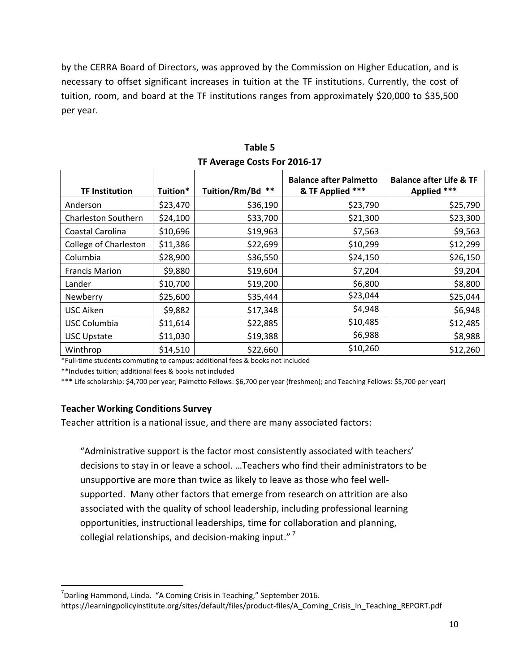by the CERRA Board of Directors, was approved by the Commission on Higher Education, and is necessary to offset significant increases in tuition at the TF institutions. Currently, the cost of tuition, room, and board at the TF institutions ranges from approximately \$20,000 to \$35,500 per year.

| <b>TF Institution</b> | Tuition* | Tuition/Rm/Bd ** | <b>Balance after Palmetto</b><br>& TF Applied *** | <b>Balance after Life &amp; TF</b><br>Applied *** |
|-----------------------|----------|------------------|---------------------------------------------------|---------------------------------------------------|
| Anderson              | \$23,470 | \$36,190         | \$23,790                                          | \$25,790                                          |
| Charleston Southern   | \$24,100 | \$33,700         | \$21,300                                          | \$23,300                                          |
| Coastal Carolina      | \$10,696 | \$19,963         | \$7,563                                           | \$9,563                                           |
| College of Charleston | \$11,386 | \$22,699         | \$10,299                                          | \$12,299                                          |
| Columbia              | \$28,900 | \$36,550         | \$24,150                                          | \$26,150                                          |
| <b>Francis Marion</b> | \$9,880  | \$19,604         | \$7,204                                           | \$9,204                                           |
| Lander                | \$10,700 | \$19,200         | \$6,800                                           | \$8,800                                           |
| Newberry              | \$25,600 | \$35,444         | \$23,044                                          | \$25,044                                          |
| <b>USC Aiken</b>      | \$9,882  | \$17,348         | \$4,948                                           | \$6,948                                           |
| <b>USC Columbia</b>   | \$11,614 | \$22,885         | \$10,485                                          | \$12,485                                          |
| <b>USC Upstate</b>    | \$11,030 | \$19,388         | \$6,988                                           | \$8,988                                           |
| Winthrop              | \$14,510 | \$22,660         | \$10,260                                          | \$12,260                                          |

**Table 5 TF Average Costs For 2016‐17**

\*Full‐time students commuting to campus; additional fees & books not included

\*\*Includes tuition; additional fees & books not included

\*\*\* Life scholarship: \$4,700 per year; Palmetto Fellows: \$6,700 per year (freshmen); and Teaching Fellows: \$5,700 per year)

## **Teacher Working Conditions Survey**

Teacher attrition is a national issue, and there are many associated factors:

"Administrative support is the factor most consistently associated with teachers' decisions to stay in or leave a school. …Teachers who find their administrators to be unsupportive are more than twice as likely to leave as those who feel well‐ supported. Many other factors that emerge from research on attrition are also associated with the quality of school leadership, including professional learning opportunities, instructional leaderships, time for collaboration and planning, collegial relationships, and decision-making input."<sup>7</sup>

<sup>&</sup>lt;sup>7</sup>Darling Hammond, Linda. "A Coming Crisis in Teaching," September 2016. https://learningpolicyinstitute.org/sites/default/files/product-files/A Coming Crisis in Teaching REPORT.pdf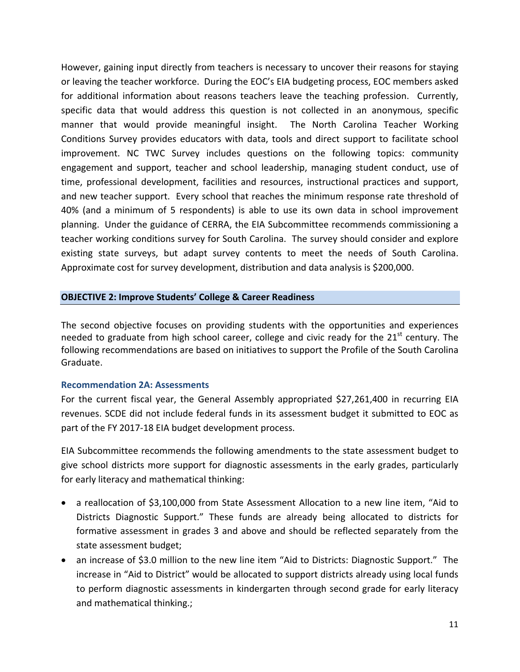However, gaining input directly from teachers is necessary to uncover their reasons for staying or leaving the teacher workforce. During the EOC's EIA budgeting process, EOC members asked for additional information about reasons teachers leave the teaching profession. Currently, specific data that would address this question is not collected in an anonymous, specific manner that would provide meaningful insight. The North Carolina Teacher Working Conditions Survey provides educators with data, tools and direct support to facilitate school improvement. NC TWC Survey includes questions on the following topics: community engagement and support, teacher and school leadership, managing student conduct, use of time, professional development, facilities and resources, instructional practices and support, and new teacher support. Every school that reaches the minimum response rate threshold of 40% (and a minimum of 5 respondents) is able to use its own data in school improvement planning. Under the guidance of CERRA, the EIA Subcommittee recommends commissioning a teacher working conditions survey for South Carolina. The survey should consider and explore existing state surveys, but adapt survey contents to meet the needs of South Carolina. Approximate cost for survey development, distribution and data analysis is \$200,000.

## **OBJECTIVE 2: Improve Students' College & Career Readiness**

The second objective focuses on providing students with the opportunities and experiences needed to graduate from high school career, college and civic ready for the  $21<sup>st</sup>$  century. The following recommendations are based on initiatives to support the Profile of the South Carolina Graduate.

## **Recommendation 2A: Assessments**

For the current fiscal year, the General Assembly appropriated \$27,261,400 in recurring EIA revenues. SCDE did not include federal funds in its assessment budget it submitted to EOC as part of the FY 2017‐18 EIA budget development process.

EIA Subcommittee recommends the following amendments to the state assessment budget to give school districts more support for diagnostic assessments in the early grades, particularly for early literacy and mathematical thinking:

- a reallocation of \$3,100,000 from State Assessment Allocation to a new line item, "Aid to Districts Diagnostic Support." These funds are already being allocated to districts for formative assessment in grades 3 and above and should be reflected separately from the state assessment budget;
- an increase of \$3.0 million to the new line item "Aid to Districts: Diagnostic Support." The increase in "Aid to District" would be allocated to support districts already using local funds to perform diagnostic assessments in kindergarten through second grade for early literacy and mathematical thinking.;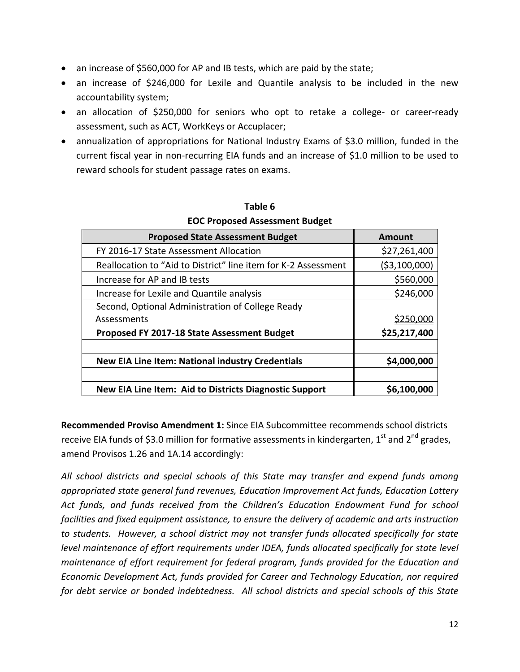- an increase of \$560,000 for AP and IB tests, which are paid by the state;
- an increase of \$246,000 for Lexile and Quantile analysis to be included in the new accountability system;
- an allocation of \$250,000 for seniors who opt to retake a college- or career-ready assessment, such as ACT, WorkKeys or Accuplacer;
- annualization of appropriations for National Industry Exams of \$3.0 million, funded in the current fiscal year in non‐recurring EIA funds and an increase of \$1.0 million to be used to reward schools for student passage rates on exams.

| <b>Proposed State Assessment Budget</b>                        | Amount        |
|----------------------------------------------------------------|---------------|
| FY 2016-17 State Assessment Allocation                         | \$27,261,400  |
| Reallocation to "Aid to District" line item for K-2 Assessment | (\$3,100,000) |
| Increase for AP and IB tests                                   | \$560,000     |
| Increase for Lexile and Quantile analysis                      | \$246,000     |
| Second, Optional Administration of College Ready               |               |
| Assessments                                                    | \$250,000     |
| Proposed FY 2017-18 State Assessment Budget                    | \$25,217,400  |
|                                                                |               |
| <b>New EIA Line Item: National industry Credentials</b>        | \$4,000,000   |
|                                                                |               |
| New EIA Line Item: Aid to Districts Diagnostic Support         | \$6,100,000   |

## **Table 6 EOC Proposed Assessment Budget**

**Recommended Proviso Amendment 1:** Since EIA Subcommittee recommends school districts receive EIA funds of \$3.0 million for formative assessments in kindergarten,  $1^{st}$  and  $2^{nd}$  grades, amend Provisos 1.26 and 1A.14 accordingly:

*All school districts and special schools of this State may transfer and expend funds among appropriated state general fund revenues, Education Improvement Act funds, Education Lottery Act funds, and funds received from the Children's Education Endowment Fund for school facilities and fixed equipment assistance, to ensure the delivery of academic and arts instruction to students. However, a school district may not transfer funds allocated specifically for state level maintenance of effort requirements under IDEA, funds allocated specifically for state level maintenance of effort requirement for federal program, funds provided for the Education and Economic Development Act, funds provided for Career and Technology Education, nor required for debt service or bonded indebtedness. All school districts and special schools of this State*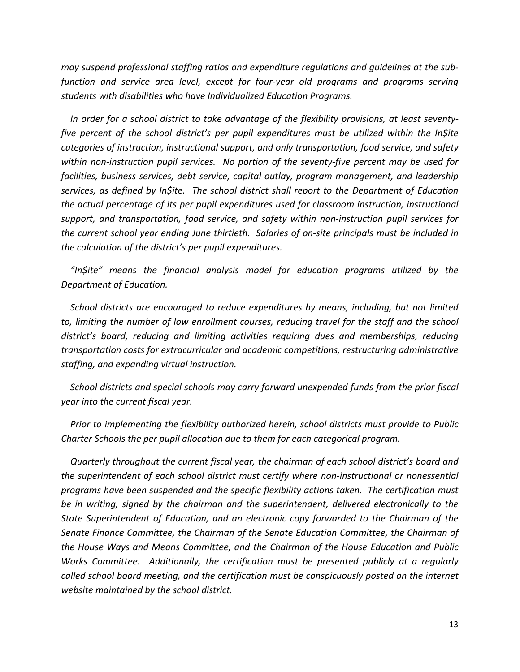*may suspend professional staffing ratios and expenditure regulations and guidelines at the sub‐ function and service area level, except for four‐year old programs and programs serving students with disabilities who have Individualized Education Programs.*

*In order for a school district to take advantage of the flexibility provisions, at least seventy‐ five percent of the school district's per pupil expenditures must be utilized within the In\$ite categories of instruction, instructional support, and only transportation, food service, and safety* within non-instruction pupil services. No portion of the seventy-five percent may be used for *facilities, business services, debt service, capital outlay, program management, and leadership services, as defined by In\$ite. The school district shall report to the Department of Education the actual percentage of its per pupil expenditures used for classroom instruction, instructional support, and transportation, food service, and safety within non‐instruction pupil services for the current school year ending June thirtieth. Salaries of on‐site principals must be included in the calculation of the district's per pupil expenditures.*

*"In\$ite" means the financial analysis model for education programs utilized by the Department of Education.*

*School districts are encouraged to reduce expenditures by means, including, but not limited to, limiting the number of low enrollment courses, reducing travel for the staff and the school district's board, reducing and limiting activities requiring dues and memberships, reducing transportation costs for extracurricular and academic competitions, restructuring administrative staffing, and expanding virtual instruction.*

*School districts and special schools may carry forward unexpended funds from the prior fiscal year into the current fiscal year.* 

*Prior to implementing the flexibility authorized herein, school districts must provide to Public Charter Schools the per pupil allocation due to them for each categorical program.*

*Quarterly throughout the current fiscal year, the chairman of each school district's board and the superintendent of each school district must certify where non‐instructional or nonessential programs have been suspended and the specific flexibility actions taken. The certification must be in writing, signed by the chairman and the superintendent, delivered electronically to the State Superintendent of Education, and an electronic copy forwarded to the Chairman of the Senate Finance Committee, the Chairman of the Senate Education Committee, the Chairman of the House Ways and Means Committee, and the Chairman of the House Education and Public Works Committee. Additionally, the certification must be presented publicly at a regularly called school board meeting, and the certification must be conspicuously posted on the internet website maintained by the school district.*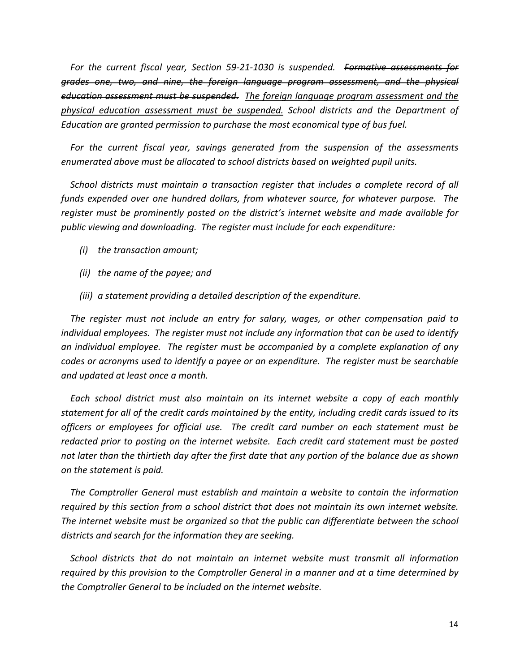*For the current fiscal year, Section 59‐21‐1030 is suspended. Formative assessments for grades one, two, and nine, the foreign language program assessment, and the physical education assessment must be suspended. The foreign language program assessment and the physical education assessment must be suspended. School districts and the Department of Education are granted permission to purchase the most economical type of bus fuel.*

*For the current fiscal year, savings generated from the suspension of the assessments enumerated above must be allocated to school districts based on weighted pupil units.*

*School districts must maintain a transaction register that includes a complete record of all funds expended over one hundred dollars, from whatever source, for whatever purpose. The register must be prominently posted on the district's internet website and made available for public viewing and downloading. The register must include for each expenditure:*

- *(i) the transaction amount;*
- *(ii) the name of the payee; and*
- *(iii) a statement providing a detailed description of the expenditure.*

*The register must not include an entry for salary, wages, or other compensation paid to individual employees. The register must not include any information that can be used to identify an individual employee. The register must be accompanied by a complete explanation of any codes or acronyms used to identify a payee or an expenditure. The register must be searchable and updated at least once a month.*

*Each school district must also maintain on its internet website a copy of each monthly statement for all of the credit cards maintained by the entity, including credit cards issued to its officers or employees for official use. The credit card number on each statement must be redacted prior to posting on the internet website. Each credit card statement must be posted* not later than the thirtieth day after the first date that any portion of the balance due as shown *on the statement is paid.*

*The Comptroller General must establish and maintain a website to contain the information required by this section from a school district that does not maintain its own internet website. The internet website must be organized so that the public can differentiate between the school districts and search for the information they are seeking.*

*School districts that do not maintain an internet website must transmit all information required by this provision to the Comptroller General in a manner and at a time determined by the Comptroller General to be included on the internet website.*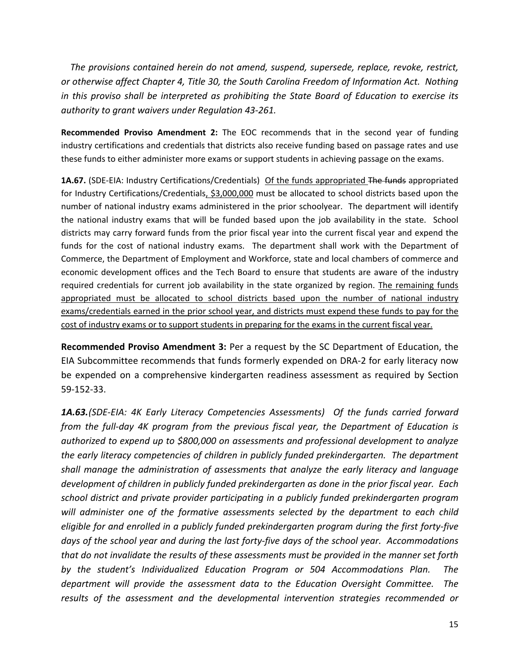*The provisions contained herein do not amend, suspend, supersede, replace, revoke, restrict, or otherwise affect Chapter 4, Title 30, the South Carolina Freedom of Information Act. Nothing in this proviso shall be interpreted as prohibiting the State Board of Education to exercise its authority to grant waivers under Regulation 43‐261.*

**Recommended Proviso Amendment 2:** The EOC recommends that in the second year of funding industry certifications and credentials that districts also receive funding based on passage rates and use these funds to either administer more exams or support students in achieving passage on the exams.

1A.67. (SDE-EIA: Industry Certifications/Credentials) Of the funds appropriated The funds appropriated for Industry Certifications/Credentials, \$3,000,000 must be allocated to school districts based upon the number of national industry exams administered in the prior schoolyear. The department will identify the national industry exams that will be funded based upon the job availability in the state. School districts may carry forward funds from the prior fiscal year into the current fiscal year and expend the funds for the cost of national industry exams. The department shall work with the Department of Commerce, the Department of Employment and Workforce, state and local chambers of commerce and economic development offices and the Tech Board to ensure that students are aware of the industry required credentials for current job availability in the state organized by region. The remaining funds appropriated must be allocated to school districts based upon the number of national industry exams/credentials earned in the prior school year, and districts must expend these funds to pay for the cost of industry exams or to support students in preparing for the exams in the current fiscal year.

**Recommended Proviso Amendment 3:** Per a request by the SC Department of Education, the EIA Subcommittee recommends that funds formerly expended on DRA‐2 for early literacy now be expended on a comprehensive kindergarten readiness assessment as required by Section 59‐152‐33.

*1A.63.(SDE‐EIA: 4K Early Literacy Competencies Assessments) Of the funds carried forward from the full‐day 4K program from the previous fiscal year, the Department of Education is authorized to expend up to \$800,000 on assessments and professional development to analyze the early literacy competencies of children in publicly funded prekindergarten. The department shall manage the administration of assessments that analyze the early literacy and language development of children in publicly funded prekindergarten as done in the prior fiscal year. Each school district and private provider participating in a publicly funded prekindergarten program will administer one of the formative assessments selected by the department to each child eligible for and enrolled in a publicly funded prekindergarten program during the first forty‐five* days of the school year and during the last forty-five days of the school year. Accommodations *that do not invalidate the results of these assessments must be provided in the manner set forth by the student's Individualized Education Program or 504 Accommodations Plan. The department will provide the assessment data to the Education Oversight Committee. The results of the assessment and the developmental intervention strategies recommended or*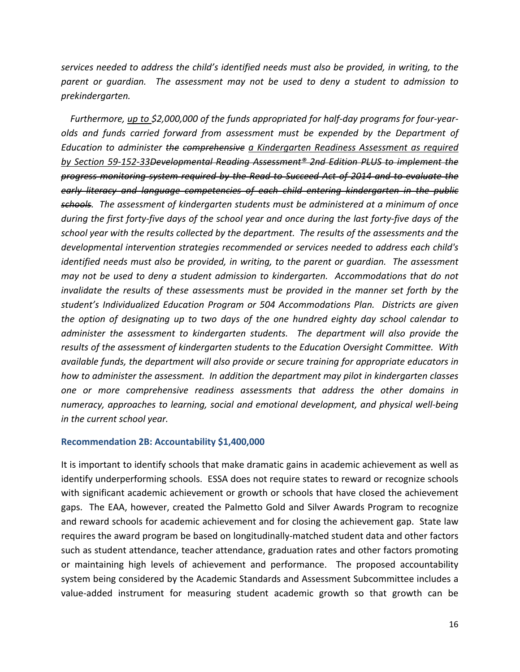*services needed to address the child's identified needs must also be provided, in writing, to the parent or guardian. The assessment may not be used to deny a student to admission to prekindergarten.*

*Furthermore, up to \$2,000,000 of the funds appropriated for half‐day programs for four‐year‐ olds and funds carried forward from assessment must be expended by the Department of Education to administer the comprehensive a Kindergarten Readiness Assessment as required by Section 59‐152‐33Developmental Reading Assessment® 2nd Edition PLUS to implement the progress monitoring system required by the Read to Succeed Act of 2014 and to evaluate the early literacy and language competencies of each child entering kindergarten in the public schools. The assessment of kindergarten students must be administered at a minimum of once* during the first forty-five days of the school year and once during the last forty-five days of the *school year with the results collected by the department. The results of the assessments and the developmental intervention strategies recommended or services needed to address each child's identified needs must also be provided, in writing, to the parent or guardian. The assessment may not be used to deny a student admission to kindergarten. Accommodations that do not invalidate the results of these assessments must be provided in the manner set forth by the student's Individualized Education Program or 504 Accommodations Plan. Districts are given the option of designating up to two days of the one hundred eighty day school calendar to administer the assessment to kindergarten students. The department will also provide the results of the assessment of kindergarten students to the Education Oversight Committee. With available funds, the department will also provide or secure training for appropriate educators in how to administer the assessment. In addition the department may pilot in kindergarten classes one or more comprehensive readiness assessments that address the other domains in numeracy, approaches to learning, social and emotional development, and physical well‐being in the current school year.*

#### **Recommendation 2B: Accountability \$1,400,000**

It is important to identify schools that make dramatic gains in academic achievement as well as identify underperforming schools. ESSA does not require states to reward or recognize schools with significant academic achievement or growth or schools that have closed the achievement gaps. The EAA, however, created the Palmetto Gold and Silver Awards Program to recognize and reward schools for academic achievement and for closing the achievement gap. State law requires the award program be based on longitudinally‐matched student data and other factors such as student attendance, teacher attendance, graduation rates and other factors promoting or maintaining high levels of achievement and performance. The proposed accountability system being considered by the Academic Standards and Assessment Subcommittee includes a value‐added instrument for measuring student academic growth so that growth can be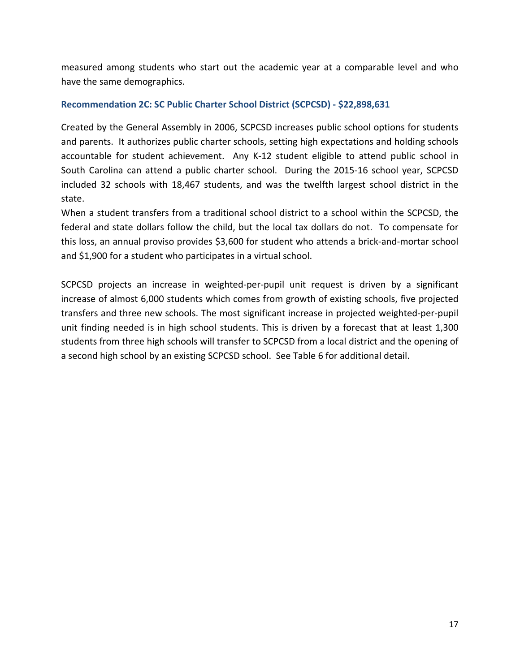measured among students who start out the academic year at a comparable level and who have the same demographics.

## **Recommendation 2C: SC Public Charter School District (SCPCSD) ‐ \$22,898,631**

Created by the General Assembly in 2006, SCPCSD increases public school options for students and parents. It authorizes public charter schools, setting high expectations and holding schools accountable for student achievement. Any K-12 student eligible to attend public school in South Carolina can attend a public charter school. During the 2015‐16 school year, SCPCSD included 32 schools with 18,467 students, and was the twelfth largest school district in the state.

When a student transfers from a traditional school district to a school within the SCPCSD, the federal and state dollars follow the child, but the local tax dollars do not. To compensate for this loss, an annual proviso provides \$3,600 for student who attends a brick‐and‐mortar school and \$1,900 for a student who participates in a virtual school.

SCPCSD projects an increase in weighted-per-pupil unit request is driven by a significant increase of almost 6,000 students which comes from growth of existing schools, five projected transfers and three new schools. The most significant increase in projected weighted‐per‐pupil unit finding needed is in high school students. This is driven by a forecast that at least 1,300 students from three high schools will transfer to SCPCSD from a local district and the opening of a second high school by an existing SCPCSD school. See Table 6 for additional detail.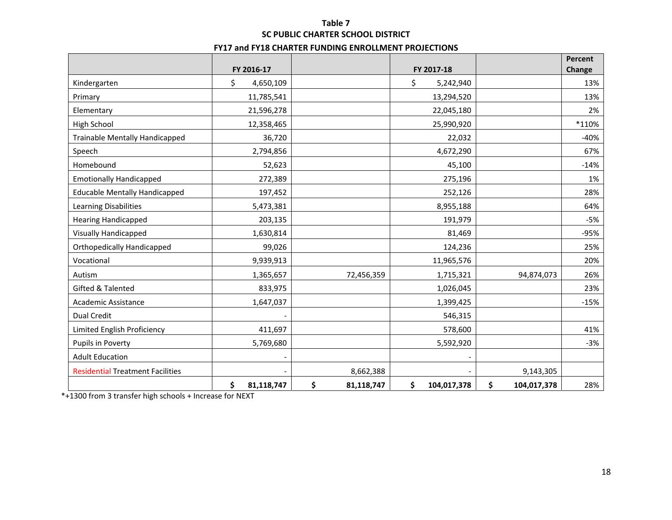# **Table 7 SC PUBLIC CHARTER SCHOOL DISTRICT**

#### **FY17 and FY18 CHARTER FUNDING ENROLLMENT PROJECTIONS**

|                                         |                          |                  |                   |                   | <b>Percent</b> |
|-----------------------------------------|--------------------------|------------------|-------------------|-------------------|----------------|
|                                         | FY 2016-17               |                  | FY 2017-18        |                   | Change         |
| Kindergarten                            | \$<br>4,650,109          |                  | \$<br>5,242,940   |                   | 13%            |
| Primary                                 | 11,785,541               |                  | 13,294,520        |                   | 13%            |
| Elementary                              | 21,596,278               |                  | 22,045,180        |                   | 2%             |
| High School                             | 12,358,465               |                  | 25,990,920        |                   | *110%          |
| <b>Trainable Mentally Handicapped</b>   | 36,720                   |                  | 22,032            |                   | $-40%$         |
| Speech                                  | 2,794,856                |                  | 4,672,290         |                   | 67%            |
| Homebound                               | 52,623                   |                  | 45,100            |                   | $-14%$         |
| <b>Emotionally Handicapped</b>          | 272,389                  |                  | 275,196           |                   | 1%             |
| <b>Educable Mentally Handicapped</b>    | 197,452                  |                  | 252,126           |                   | 28%            |
| Learning Disabilities                   | 5,473,381                |                  | 8,955,188         |                   | 64%            |
| <b>Hearing Handicapped</b>              | 203,135                  |                  | 191,979           |                   | $-5%$          |
| <b>Visually Handicapped</b>             | 1,630,814                |                  | 81,469            |                   | $-95%$         |
| <b>Orthopedically Handicapped</b>       | 99,026                   |                  | 124,236           |                   | 25%            |
| Vocational                              | 9,939,913                |                  | 11,965,576        |                   | 20%            |
| Autism                                  | 1,365,657                | 72,456,359       | 1,715,321         | 94,874,073        | 26%            |
| Gifted & Talented                       | 833,975                  |                  | 1,026,045         |                   | 23%            |
| Academic Assistance                     | 1,647,037                |                  | 1,399,425         |                   | $-15%$         |
| <b>Dual Credit</b>                      |                          |                  | 546,315           |                   |                |
| Limited English Proficiency             | 411,697                  |                  | 578,600           |                   | 41%            |
| Pupils in Poverty                       | 5,769,680                |                  | 5,592,920         |                   | $-3%$          |
| <b>Adult Education</b>                  | $\overline{\phantom{a}}$ |                  |                   |                   |                |
| <b>Residential Treatment Facilities</b> |                          | 8,662,388        |                   | 9,143,305         |                |
|                                         | \$<br>81,118,747         | \$<br>81,118,747 | \$<br>104,017,378 | \$<br>104,017,378 | 28%            |

\*+1300 from 3 transfer high schools <sup>+</sup> Increase for NEXT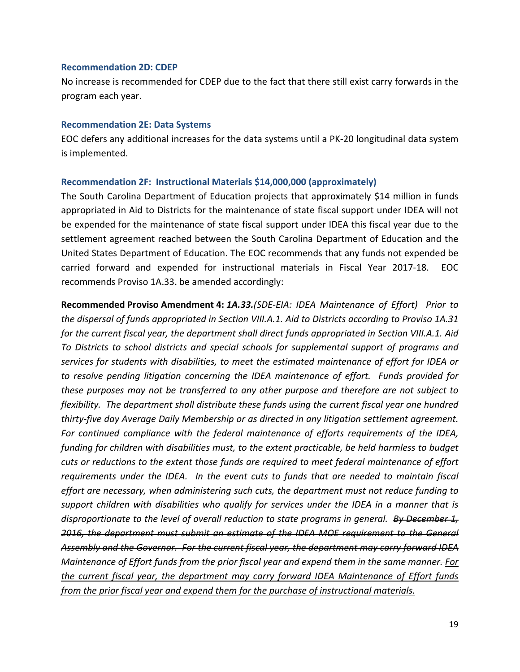#### **Recommendation 2D: CDEP**

No increase is recommended for CDEP due to the fact that there still exist carry forwards in the program each year.

#### **Recommendation 2E: Data Systems**

EOC defers any additional increases for the data systems until a PK‐20 longitudinal data system is implemented.

#### **Recommendation 2F: Instructional Materials \$14,000,000 (approximately)**

The South Carolina Department of Education projects that approximately \$14 million in funds appropriated in Aid to Districts for the maintenance of state fiscal support under IDEA will not be expended for the maintenance of state fiscal support under IDEA this fiscal year due to the settlement agreement reached between the South Carolina Department of Education and the United States Department of Education. The EOC recommends that any funds not expended be carried forward and expended for instructional materials in Fiscal Year 2017‐18. EOC recommends Proviso 1A.33. be amended accordingly:

**Recommended Proviso Amendment 4:** *1A.33.(SDE‐EIA: IDEA Maintenance of Effort) Prior to the dispersal of funds appropriated in Section VIII.A.1. Aid to Districts according to Proviso 1A.31 for the current fiscal year, the department shall direct funds appropriated in Section VIII.A.1. Aid To Districts to school districts and special schools for supplemental support of programs and services for students with disabilities, to meet the estimated maintenance of effort for IDEA or to resolve pending litigation concerning the IDEA maintenance of effort. Funds provided for these purposes may not be transferred to any other purpose and therefore are not subject to flexibility. The department shall distribute these funds using the current fiscal year one hundred thirty‐five day Average Daily Membership or as directed in any litigation settlement agreement. For continued compliance with the federal maintenance of efforts requirements of the IDEA, funding for children with disabilities must, to the extent practicable, be held harmless to budget cuts or reductions to the extent those funds are required to meet federal maintenance of effort requirements under the IDEA. In the event cuts to funds that are needed to maintain fiscal effort are necessary, when administering such cuts, the department must not reduce funding to support children with disabilities who qualify for services under the IDEA in a manner that is disproportionate to the level of overall reduction to state programs in general. By December 1, 2016, the department must submit an estimate of the IDEA MOE requirement to the General Assembly and the Governor. For the current fiscal year, the department may carry forward IDEA Maintenance of Effort funds from the prior fiscal year and expend them in the same manner. For the current fiscal year, the department may carry forward IDEA Maintenance of Effort funds from the prior fiscal year and expend them for the purchase of instructional materials.*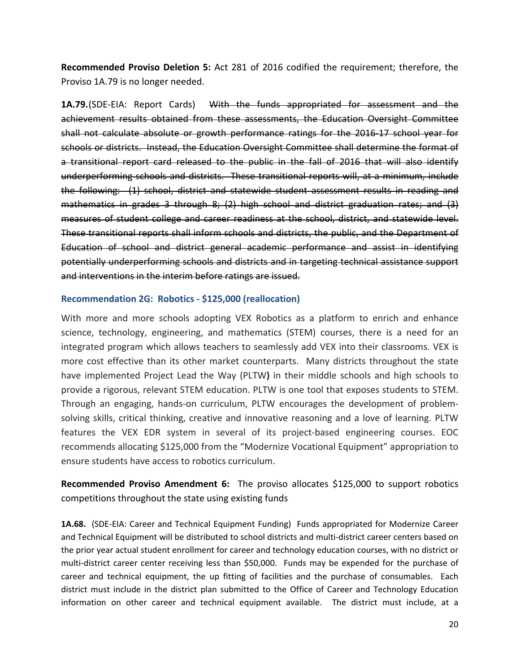**Recommended Proviso Deletion 5:** Act 281 of 2016 codified the requirement; therefore, the Proviso 1A.79 is no longer needed.

**1A.79.**(SDE‐EIA: Report Cards) With the funds appropriated for assessment and the achievement results obtained from these assessments, the Education Oversight Committee shall not calculate absolute or growth performance ratings for the 2016‐17 school year for schools or districts. Instead, the Education Oversight Committee shall determine the format of a transitional report card released to the public in the fall of 2016 that will also identify underperforming schools and districts. These transitional reports will, at a minimum, include the following: (1) school, district and statewide student assessment results in reading and mathematics in grades 3 through 8; (2) high school and district graduation rates; and (3) measures of student college and career readiness at the school, district, and statewide level. These transitional reports shall inform schools and districts, the public, and the Department of Education of school and district general academic performance and assist in identifying potentially underperforming schools and districts and in targeting technical assistance support and interventions in the interim before ratings are issued.

#### **Recommendation 2G: Robotics ‐ \$125,000 (reallocation)**

With more and more schools adopting VEX Robotics as a platform to enrich and enhance science, technology, engineering, and mathematics (STEM) courses, there is a need for an integrated program which allows teachers to seamlessly add VEX into their classrooms. VEX is more cost effective than its other market counterparts. Many districts throughout the state have implemented Project Lead the Way (PLTW**)** in their middle schools and high schools to provide a rigorous, relevant STEM education. PLTW is one tool that exposes students to STEM. Through an engaging, hands‐on curriculum, PLTW encourages the development of problem‐ solving skills, critical thinking, creative and innovative reasoning and a love of learning. PLTW features the VEX EDR system in several of its project-based engineering courses. EOC recommends allocating \$125,000 from the "Modernize Vocational Equipment" appropriation to ensure students have access to robotics curriculum.

**Recommended Proviso Amendment 6:**  The proviso allocates \$125,000 to support robotics competitions throughout the state using existing funds

**1A.68.** (SDE‐EIA: Career and Technical Equipment Funding) Funds appropriated for Modernize Career and Technical Equipment will be distributed to school districts and multi-district career centers based on the prior year actual student enrollment for career and technology education courses, with no district or multi-district career center receiving less than \$50,000. Funds may be expended for the purchase of career and technical equipment, the up fitting of facilities and the purchase of consumables. Each district must include in the district plan submitted to the Office of Career and Technology Education information on other career and technical equipment available. The district must include, at a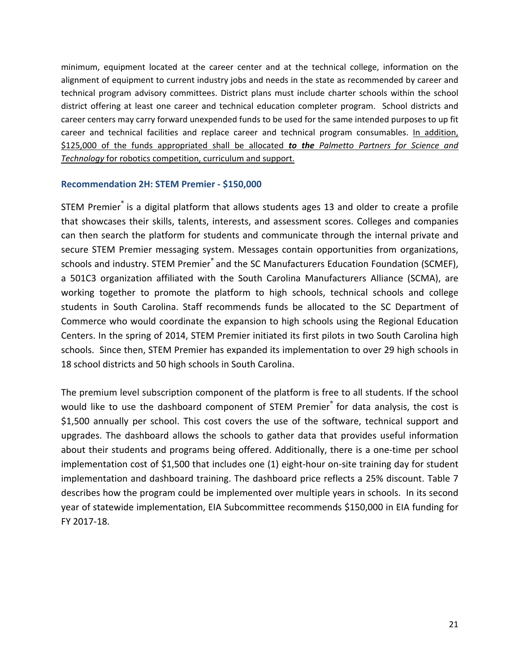minimum, equipment located at the career center and at the technical college, information on the alignment of equipment to current industry jobs and needs in the state as recommended by career and technical program advisory committees. District plans must include charter schools within the school district offering at least one career and technical education completer program. School districts and career centers may carry forward unexpended funds to be used for the same intended purposes to up fit career and technical facilities and replace career and technical program consumables. In addition, \$125,000 of the funds appropriated shall be allocated *to the Palmetto Partners for Science and Technology* for robotics competition, curriculum and support.

## **Recommendation 2H: STEM Premier ‐ \$150,000**

STEM Premier® is a digital platform that allows students ages 13 and older to create a profile that showcases their skills, talents, interests, and assessment scores. Colleges and companies can then search the platform for students and communicate through the internal private and secure STEM Premier messaging system. Messages contain opportunities from organizations, schools and industry. STEM Premier® and the SC Manufacturers Education Foundation (SCMEF), a 501C3 organization affiliated with the South Carolina Manufacturers Alliance (SCMA), are working together to promote the platform to high schools, technical schools and college students in South Carolina. Staff recommends funds be allocated to the SC Department of Commerce who would coordinate the expansion to high schools using the Regional Education Centers. In the spring of 2014, STEM Premier initiated its first pilots in two South Carolina high schools. Since then, STEM Premier has expanded its implementation to over 29 high schools in 18 school districts and 50 high schools in South Carolina.

The premium level subscription component of the platform is free to all students. If the school would like to use the dashboard component of STEM Premier<sup>®</sup> for data analysis, the cost is \$1,500 annually per school. This cost covers the use of the software, technical support and upgrades. The dashboard allows the schools to gather data that provides useful information about their students and programs being offered. Additionally, there is a one-time per school implementation cost of \$1,500 that includes one (1) eight‐hour on‐site training day for student implementation and dashboard training. The dashboard price reflects a 25% discount. Table 7 describes how the program could be implemented over multiple years in schools. In its second year of statewide implementation, EIA Subcommittee recommends \$150,000 in EIA funding for FY 2017‐18.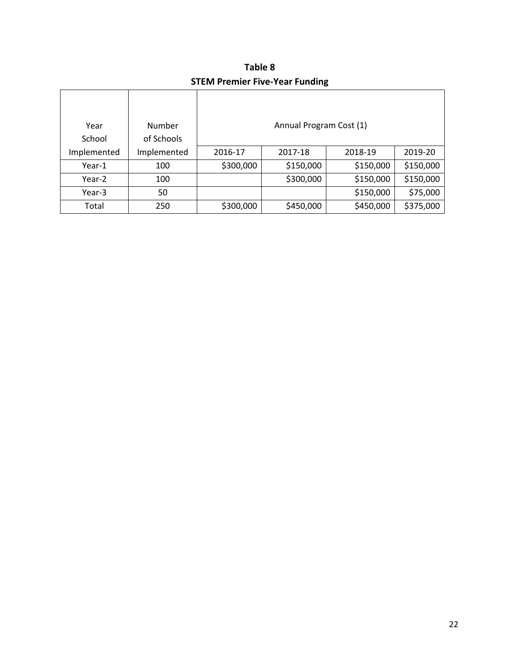**Table 8 STEM Premier Five‐Year Funding**

| Year        | Number      |           | Annual Program Cost (1) |           |           |
|-------------|-------------|-----------|-------------------------|-----------|-----------|
| School      | of Schools  |           |                         |           |           |
| Implemented | Implemented | 2016-17   | 2017-18                 | 2018-19   | 2019-20   |
| Year-1      | 100         | \$300,000 | \$150,000               | \$150,000 | \$150,000 |
| Year-2      | 100         |           | \$300,000               | \$150,000 | \$150,000 |
| Year-3      | 50          |           |                         | \$150,000 | \$75,000  |
| Total       | 250         | \$300,000 | \$450,000               | \$450,000 | \$375,000 |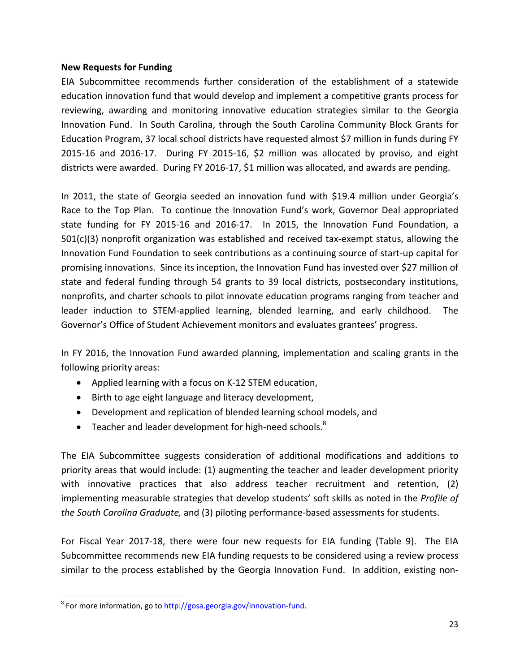#### **New Requests for Funding**

EIA Subcommittee recommends further consideration of the establishment of a statewide education innovation fund that would develop and implement a competitive grants process for reviewing, awarding and monitoring innovative education strategies similar to the Georgia Innovation Fund. In South Carolina, through the South Carolina Community Block Grants for Education Program, 37 local school districts have requested almost \$7 million in funds during FY 2015-16 and 2016-17. During FY 2015-16, \$2 million was allocated by proviso, and eight districts were awarded. During FY 2016‐17, \$1 million was allocated, and awards are pending.

In 2011, the state of Georgia seeded an innovation fund with \$19.4 million under Georgia's Race to the Top Plan. To continue the Innovation Fund's work, Governor Deal appropriated state funding for FY 2015-16 and 2016-17. In 2015, the Innovation Fund Foundation, a 501(c)(3) nonprofit organization was established and received tax‐exempt status, allowing the Innovation Fund Foundation to seek contributions as a continuing source of start-up capital for promising innovations. Since its inception, the Innovation Fund has invested over \$27 million of state and federal funding through 54 grants to 39 local districts, postsecondary institutions, nonprofits, and charter schools to pilot innovate education programs ranging from teacher and leader induction to STEM-applied learning, blended learning, and early childhood. The Governor's Office of Student Achievement monitors and evaluates grantees' progress.

In FY 2016, the Innovation Fund awarded planning, implementation and scaling grants in the following priority areas:

- Applied learning with a focus on K-12 STEM education,
- Birth to age eight language and literacy development,
- Development and replication of blended learning school models, and
- **•** Teacher and leader development for high-need schools.<sup>8</sup>

The EIA Subcommittee suggests consideration of additional modifications and additions to priority areas that would include: (1) augmenting the teacher and leader development priority with innovative practices that also address teacher recruitment and retention, (2) implementing measurable strategies that develop students' soft skills as noted in the *Profile of the South Carolina Graduate,* and (3) piloting performance‐based assessments for students.

For Fiscal Year 2017‐18, there were four new requests for EIA funding (Table 9). The EIA Subcommittee recommends new EIA funding requests to be considered using a review process similar to the process established by the Georgia Innovation Fund. In addition, existing non‐

<sup>&</sup>lt;sup>8</sup> For more information, go to http://gosa.georgia.gov/innovation-fund.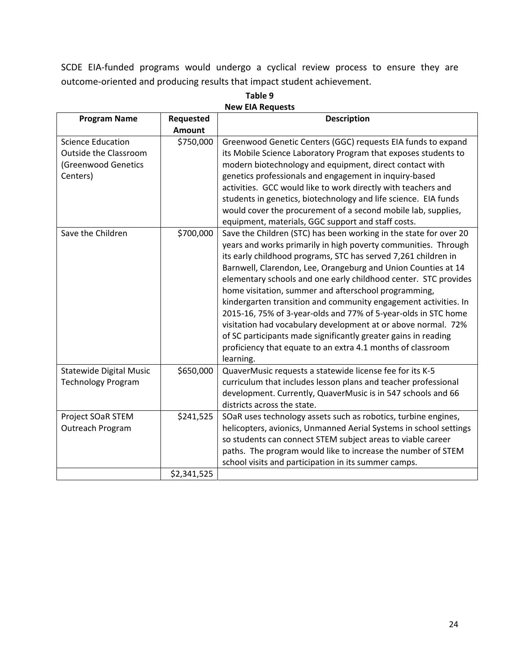SCDE EIA‐funded programs would undergo a cyclical review process to ensure they are outcome‐oriented and producing results that impact student achievement.

| <b>Program Name</b>            | Requested     | <b>Description</b>                                                |
|--------------------------------|---------------|-------------------------------------------------------------------|
|                                | <b>Amount</b> |                                                                   |
| <b>Science Education</b>       | \$750,000     | Greenwood Genetic Centers (GGC) requests EIA funds to expand      |
| <b>Outside the Classroom</b>   |               | its Mobile Science Laboratory Program that exposes students to    |
| (Greenwood Genetics            |               | modern biotechnology and equipment, direct contact with           |
| Centers)                       |               | genetics professionals and engagement in inquiry-based            |
|                                |               | activities. GCC would like to work directly with teachers and     |
|                                |               | students in genetics, biotechnology and life science. EIA funds   |
|                                |               | would cover the procurement of a second mobile lab, supplies,     |
|                                |               | equipment, materials, GGC support and staff costs.                |
| Save the Children              | \$700,000     | Save the Children (STC) has been working in the state for over 20 |
|                                |               | years and works primarily in high poverty communities. Through    |
|                                |               | its early childhood programs, STC has served 7,261 children in    |
|                                |               | Barnwell, Clarendon, Lee, Orangeburg and Union Counties at 14     |
|                                |               | elementary schools and one early childhood center. STC provides   |
|                                |               | home visitation, summer and afterschool programming,              |
|                                |               | kindergarten transition and community engagement activities. In   |
|                                |               | 2015-16, 75% of 3-year-olds and 77% of 5-year-olds in STC home    |
|                                |               | visitation had vocabulary development at or above normal. 72%     |
|                                |               | of SC participants made significantly greater gains in reading    |
|                                |               | proficiency that equate to an extra 4.1 months of classroom       |
|                                |               | learning.                                                         |
| <b>Statewide Digital Music</b> | \$650,000     | QuaverMusic requests a statewide license fee for its K-5          |
| <b>Technology Program</b>      |               | curriculum that includes lesson plans and teacher professional    |
|                                |               | development. Currently, QuaverMusic is in 547 schools and 66      |
|                                |               | districts across the state.                                       |
| Project SOaR STEM              | \$241,525     | SOaR uses technology assets such as robotics, turbine engines,    |
| Outreach Program               |               | helicopters, avionics, Unmanned Aerial Systems in school settings |
|                                |               | so students can connect STEM subject areas to viable career       |
|                                |               | paths. The program would like to increase the number of STEM      |
|                                |               | school visits and participation in its summer camps.              |
|                                | \$2,341,525   |                                                                   |

**Table 9 New EIA Requests**